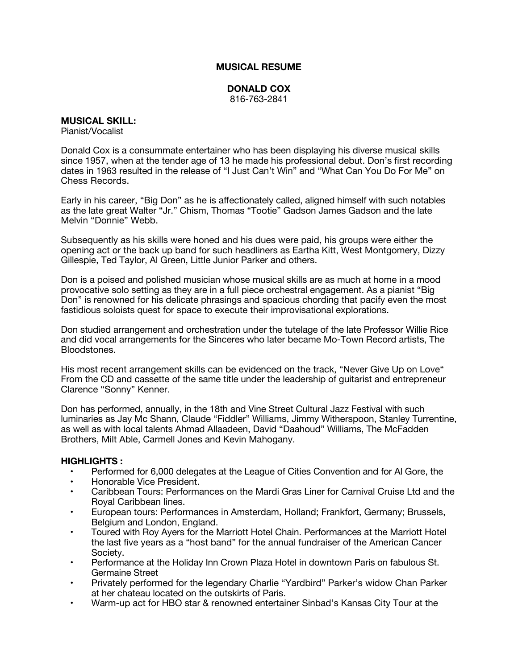## **MUSICAL RESUME**

## **DONALD COX** 816-763-2841

## **MUSICAL SKILL:**

Pianist/Vocalist

Donald Cox is a consummate entertainer who has been displaying his diverse musical skills since 1957, when at the tender age of 13 he made his professional debut. Don's first recording dates in 1963 resulted in the release of "I Just Can't Win" and "What Can You Do For Me" on Chess Records.

Early in his career, "Big Don" as he is affectionately called, aligned himself with such notables as the late great Walter "Jr." Chism, Thomas "Tootie" Gadson James Gadson and the late Melvin "Donnie" Webb.

Subsequently as his skills were honed and his dues were paid, his groups were either the opening act or the back up band for such headliners as Eartha Kitt, West Montgomery, Dizzy Gillespie, Ted Taylor, Al Green, Little Junior Parker and others.

Don is a poised and polished musician whose musical skills are as much at home in a mood provocative solo setting as they are in a full piece orchestral engagement. As a pianist "Big Don" is renowned for his delicate phrasings and spacious chording that pacify even the most fastidious soloists quest for space to execute their improvisational explorations.

Don studied arrangement and orchestration under the tutelage of the late Professor Willie Rice and did vocal arrangements for the Sinceres who later became Mo-Town Record artists, The Bloodstones.

His most recent arrangement skills can be evidenced on the track, "Never Give Up on Love" From the CD and cassette of the same title under the leadership of guitarist and entrepreneur Clarence "Sonny" Kenner.

Don has performed, annually, in the 18th and Vine Street Cultural Jazz Festival with such luminaries as Jay Mc Shann, Claude "Fiddler" Williams, Jimmy Witherspoon, Stanley Turrentine, as well as with local talents Ahmad Allaadeen, David "Daahoud" Williams, The McFadden Brothers, Milt Able, Carmell Jones and Kevin Mahogany.

## **HIGHLIGHTS :**

- Performed for 6,000 delegates at the League of Cities Convention and for Al Gore, the
- Honorable Vice President.
- Caribbean Tours: Performances on the Mardi Gras Liner for Carnival Cruise Ltd and the Royal Caribbean lines.
- European tours: Performances in Amsterdam, Holland; Frankfort, Germany; Brussels, Belgium and London, England.
- Toured with Roy Ayers for the Marriott Hotel Chain. Performances at the Marriott Hotel the last five years as a "host band" for the annual fundraiser of the American Cancer Society.
- Performance at the Holiday Inn Crown Plaza Hotel in downtown Paris on fabulous St. Germaine Street
- Privately performed for the legendary Charlie "Yardbird" Parker's widow Chan Parker at her chateau located on the outskirts of Paris.
- Warm-up act for HBO star & renowned entertainer Sinbad's Kansas City Tour at the